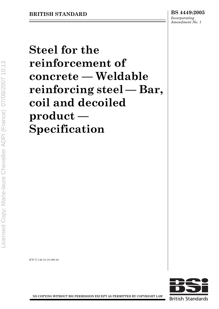**Steel for the reinforcement of concrete — Weldable reinforcing steel — Bar, coil and decoiled product — Specification**

ICS 77.140.15; 91.080.40



NO COPYING WITHOUT BSI PERMISSION EXCEPT AS PERMITTED BY COPYRIGHT LAW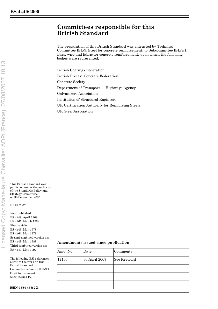# **Committees responsible for this British Standard**

The preparation of this British Standard was entrusted by Technical Committee ISE/9, Steel for concrete reinforcement, to Subcommittee ISE/9/1, Bars, wire and fabric for concrete reinforcement, upon which the following bodies were represented:

British Coatings Federation

British Precast Concrete Federation

Concrete Society

Department of Transport — Highways Agency

Galvanizers Association

Institution of Structural Engineers

UK Certification Authority for Reinforcing Steels

UK Steel Association

This British Standard was published under the authority of the Standards Policy and Strategy Committee on 30 September 2005

© BSI 2007

First published: BS 4449: April 1969 BS 4461: March 1969 First revision: BS 4449: May 1978 BS 4461: May 1978 Second combined version as: BS 4449: May 1988 Third combined version as: BS 4449: May 1997

The following BSI references relate to the work on this British Standard: Committee reference ISE/9/1 Draft for comment 04/30109891 DC

**ISBN 0 580 46587 X**

## **Amendments issued since publication**

| Amd. No. | Date          | Comments     |
|----------|---------------|--------------|
| 17103    | 30 April 2007 | See foreword |
|          |               |              |
|          |               |              |
|          |               |              |
|          |               |              |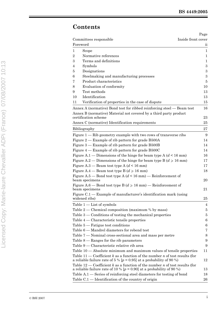# **Contents**

|                |                                                                                                                                                       | Page                    |
|----------------|-------------------------------------------------------------------------------------------------------------------------------------------------------|-------------------------|
|                | Inside front cover<br>Committees responsible                                                                                                          |                         |
|                | Foreword                                                                                                                                              | $\overline{\mathbf{u}}$ |
| $\mathbf 1$    | Scope                                                                                                                                                 | $\mathbf 1$             |
| $\overline{2}$ | Normative references                                                                                                                                  | $\mathbf{1}$            |
| 3              | Terms and definitions                                                                                                                                 | $\mathbf 1$             |
| 4              | Symbols                                                                                                                                               | $\boldsymbol{3}$        |
| 5              | Designations                                                                                                                                          | $\boldsymbol{3}$        |
| 6              | Steelmaking and manufacturing processes                                                                                                               | $\boldsymbol{3}$        |
| 7              | Product characteristics                                                                                                                               | 5                       |
| 8              | Evaluation of conformity                                                                                                                              | 10                      |
| 9              | Test methods                                                                                                                                          | 13                      |
| 10             | Identification                                                                                                                                        | 13                      |
| 11             | Verification of properties in the case of dispute                                                                                                     | 15                      |
|                | Annex A (normative) Bond test for ribbed reinforcing steel - Beam test                                                                                | 16                      |
|                | Annex B (normative) Material not covered by a third party product                                                                                     |                         |
|                | certification scheme                                                                                                                                  | 23                      |
|                | Annex C (normative) Identification requirements                                                                                                       | 25                      |
|                | Bibliography                                                                                                                                          | 27                      |
|                | Figure $1$ — Rib geometry example with two rows of transverse ribs                                                                                    | 9                       |
|                | Figure $2$ — Example of rib pattern for grade B500A                                                                                                   | 14                      |
|                | Figure $3$ — Example of rib pattern for grade B500B                                                                                                   | 14                      |
|                | Figure 4 – Example of rib pattern for grade B500C                                                                                                     | 14                      |
|                | Figure A.1 — Dimensions of the hinge for beam type A ( $d < 16$ mm)                                                                                   | 16                      |
|                | Figure A.2 — Dimensions of the hinge for beam type B ( $d \ge 16$ mm)                                                                                 | 17                      |
|                | Figure A.3 — Beam test type A $(d < 16$ mm)                                                                                                           | 17                      |
|                | Figure A.4 — Beam test type B ( $d \ge 16$ mm)                                                                                                        | 18                      |
|                | Figure A.5 – Bond test type A ( $d$ < 16 mm) – Reinforcement of                                                                                       |                         |
|                | beam specimens                                                                                                                                        | 20                      |
|                | Figure A.6 – Bond test type B ( $d \ge 16$ mm) – Reinforcement of<br>beam specimens                                                                   | 21                      |
|                | Figure C.1 - Example of manufacturer's identification mark (using                                                                                     |                         |
|                | widened ribs)                                                                                                                                         | 25                      |
|                | Table $1$ — List of symbols                                                                                                                           | 4                       |
|                | Table $2$ — Chemical composition (maximum % by mass)                                                                                                  | $\overline{5}$          |
|                | Table $3$ — Conditions of testing the mechanical properties                                                                                           | 5                       |
|                | Table 4 — Characteristic tensile properties                                                                                                           | 6                       |
|                | Table $5$ — Fatigue test conditions                                                                                                                   | 6                       |
|                | Table 6 — Mandrel diameters for rebend test                                                                                                           | 7                       |
|                | Table 7 - Nominal cross-sectional area and mass per metre                                                                                             | 8                       |
|                | Table $8$ — Ranges for the rib parameters                                                                                                             | 9                       |
|                | Table 9 — Characteristic relative rib area                                                                                                            | 9                       |
|                | Table 10 - Absolute minimum and maximum values of tensile properties                                                                                  | 11                      |
|                | Table 11 — Coefficient k as a function of the number n of test results (for<br>a reliable failure rate of 5 % $[p = 0.95]$ at a probability of 90 %)  | 12                      |
|                | Table 12 — Coefficient k as a function of the number n of test results (for<br>a reliable failure rate of 10 % $[p = 0.90]$ at a probability of 90 %) | 13                      |
|                | Table $A.1$ — Series of reinforcing steel diameters for testing of bond                                                                               | 18                      |
|                | Table $C.1$ — Identification of the country of origin                                                                                                 | 26                      |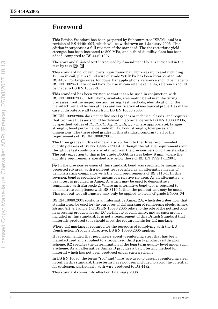# **Foreword**

This British Standard has been prepared by Subcommittee ISE/9/1, and is a revision of BS 4449:1997, which will be withdrawn on 1 January 2006. This edition incorporates a full revision of the standard. The characteristic yield strength has been increased to 500 MPa, and a third ductility class has been added, compared to BS 4449:1997.

The start and finish of text introduced by Amendment No. 1 is indicated in the text by tags  $A$   $\overline{A}$ .

This standard no longer covers plain round bar. For sizes up to and including 12 mm in coil, plain round wire of grade 250 MPa has been incorporated into BS 4482. For larger sizes, for dowel bar applications, reference should be made to BS EN 10025-1. For dowel bars for use in concrete pavements, reference should be made to BS EN 13877-3.

This standard has been written so that it can be used in conjunction with BS EN 10080:2005. Definitions, symbols, steelmaking and manufacturing processes, routine inspection and testing, test methods, identification of the manufacturer and technical class and verification of mechanical properties in the case of dispute are all taken from BS EN 10080:2005.

BS EN 10080:2005 does not define steel grades or technical classes, and requires that technical classes should be defined in accordance with BS EN 10080:2005, by specified values of  $R_e$ ,  $R_m/R_e$ ,  $A_{\text{gt}}$ ,  $R_{\text{e,act}}/R_{\text{e,nom}}$  (where appropriate), fatigue strength, bend performance, weldability, bond strength, tolerances and dimensions. The three steel grades in this standard conform to all of the requirements of BS EN 10080:2005.

The three grades in this standard also conform to the three recommended ductility classes of BS EN 1992-1-1:2004, although the fatigue requirements and the fatigue test conditions are retained from the previous version of this standard. The only exception to this is for grade B500A in sizes below 8 mm, where the ductility requirements specified are below those of BS EN 1992-1-1:2004.

 $\langle A \rangle$  In the previous revision of this standard, bond was specified by means of a projected rib area, with a pull-out test specified as an alternative means of demonstrating compliance with the bond requirements of BS 8110-1. In this revision, bond is specified by means of a relative rib area. As an alternative, a beam test is provided in Annex A, which may be used to demonstrate compliance with Eurocode 2. Where an alternative bond test is required to demonstrate compliance with BS 8110-1, then the pull-out test may be used. This pull-out test alternative may only be applied to steels of grade B500A. A

BS EN 10080:2005 contains an informative Annex ZA, which describes how that standard can be used for the purposes of CE marking of reinforcing steels. Annex ZA and **8.2**, **8.3** and **8.4** of BS EN 10080:2005 relate to the role of the notified body in assessing products for an EC certificate of conformity, and as such are not included in this standard. It is not a requirement of this British Standard that materials produced to it should meet the requirements for CE marking.

Where CE marking is required for the purposes of complying with the EU Construction Products Directive, BS EN 10080:2005 applies.

It is recommended that purchasers specify reinforcing steel that has been manufactured and supplied to a recognized third party product certification scheme. **8.2** specifies the determination of the long term quality level under such a scheme. As an alternative, Annex B provides a batch testing method for material which has not been produced under such a scheme.

In BS EN 10080, the terms "rod" and "wire" are used to describe reinforcing steel in coil. In this standard, these terms have not been included to avoid the potential for confusion, particularly with wire produced to BS 4482.

This standard comes into effect on 1 January 2006.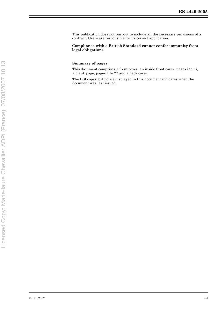This publication does not purport to include all the necessary provisions of a contract. Users are responsible for its correct application.

#### **Compliance with a British Standard cannot confer immunity from legal obligations.**

## **Summary of pages**

This document comprises a front cover, an inside front cover, pages i to iii, a blank page, pages 1 to 27 and a back cover.

The BSI copyright notice displayed in this document indicates when the document was last issued.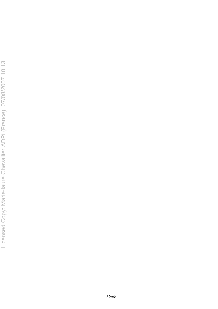Licensed Copy: Marie-laure Chevallier ADPi (France) 07/08/2007 10:13 Licensed Copy: Marie-laure Chevallier ADPi (France) 07/08/2007 10:13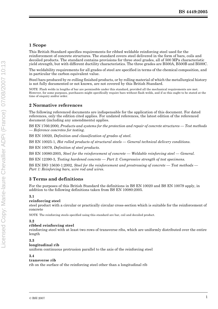## <span id="page-6-0"></span>**1 Scope**

This British Standard specifies requirements for ribbed weldable reinforcing steel used for the reinforcement of concrete structures. The standard covers steel delivered in the form of bars, coils and decoiled products. The standard contains provisions for three steel grades, all of 500 MPa characteristic yield strength, but with different ductility characteristics. The three grades are B500A, B500B and B500C.

The weldability requirements for all grades of steel are specified in terms of the chemical composition, and in particular the carbon equivalent value.

Steel bars produced by re-rolling finished products, or by rolling material of which the metallurgical history is not fully documented or not known, are not covered by this British Standard.

NOTE Flash welds in lengths of bar are permissible under this standard, provided all the mechanical requirements are met. However, for some purposes, purchasers might specifically require bars without flash welds, and if so this ought to be stated at the time of enquiry and/or order.

## <span id="page-6-1"></span>**2 Normative references**

The following referenced documents are indispensable for the application of this document. For dated references, only the edition cited applies. For undated references, the latest edition of the referenced document (including any amendments) applies.

BS EN 1766:2000*, Products and systems for the protection and repair of concrete structures — Test methods — Reference concretes for testing.*

BS EN 10020*, Definition and classification of grades of steel.*

BS EN 10025-1*, Hot rolled products of structural steels — General technical delivery conditions.*

BS EN 10079*, Definition of steel products.*

BS EN 10080:2005*, Steel for the reinforcement of concrete — Weldable reinforcing steel — General.*

BS EN 12390-3*, Testing hardened concrete — Part 3: Compressive strength of test specimens.*

BS EN ISO 15630-1:2002*, Steel for the reinforcement and prestressing of concrete — Test methods — Part 1: Reinforcing bars, wire rod and wires*.

## <span id="page-6-2"></span>**3 Terms and definitions**

For the purposes of this British Standard the definitions in BS EN 10020 and BS EN 10079 apply, in addition to the following definitions taken from BS EN 10080:2005.

### **3.1**

### **reinforcing steel**

steel product with a circular or practically circular cross-section which is suitable for the reinforcement of concrete

NOTE The reinforcing steels specified using this standard are bar, coil and decoiled product.

### **3.2**

#### **ribbed reinforcing steel**

reinforcing steel with at least two rows of transverse ribs, which are uniformly distributed over the entire length

### **3.3**

### **longitudinal rib**

uniform continuous protrusion parallel to the axis of the reinforcing steel

#### **3.4**

### **transverse rib**

rib on the surface of the reinforcing steel other than a longitudinal rib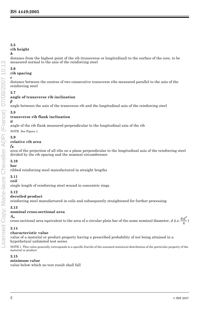### **3.5 rib height**

## *h*

distance from the highest point of the rib (transverse or longitudinal) to the surface of the core, to be measured normal to the axis of the reinforcing steel

## **3.6**

#### **rib spacing** *c*

distance between the centres of two consecutive transverse ribs measured parallel to the axis of the reinforcing steel

## **3.7**

## **angle of transverse rib inclination**

 $\beta$ angle between the axis of the transverse rib and the longitudinal axis of the reinforcing steel

## **3.8**

 $\alpha$ 

## **transverse rib flank inclination**

angle of the rib flank measured perpendicular to the longitudinal axis of the rib

NOTE See [Figure 1.](#page-14-0)

## **3.9**

## **relative rib area**

*f***R** area of the projection of all ribs on a plane perpendicular to the longitudinal axis of the reinforcing steel divided by the rib spacing and the nominal circumference

## **3.10**

**bar**

ribbed reinforcing steel manufactured in straight lengths

## **3.11**

**coil**

single length of reinforcing steel wound in concentric rings

## **3.12**

## **decoiled product**

reinforcing steel manufactured in coils and subsequently straightened for further processing

## **3.13**

## **nominal cross-sectional area**

# *A***<sup>n</sup>**

 $A_{\bf n}$ <br>cross-sectional area equivalent to the area of a circular plain bar of the same nominal diameter, *d* (i.e.  $\frac{\pi d^2}{4}$ )  $\frac{4}{4}$ 

## **3.14**

## **characteristic value**

value of a material or product property having a prescribed probability of not being attained in a hypothetical unlimited test series

NOTE 1 This value generally corresponds to a specific fractile of the assumed statistical distribution of the particular property of the material or product.

## **3.15**

## **minimum value**

value below which no test result shall fall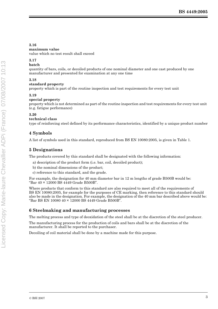## **3.16**

## **maximum value**

value which no test result shall exceed

## **3.17**

### **batch**

quantity of bars, coils, or decoiled products of one nominal diameter and one cast produced by one manufacturer and presented for examination at any one time

## **3.18**

### **standard property**

property which is part of the routine inspection and test requirements for every test unit

### **3.19**

## **special property**

property which is not determined as part of the routine inspection and test requirements for every test unit (e.g. fatigue performance)

### **3.20**

## **technical class**

type of reinforcing steel defined by its performance characteristics, identified by a unique product number

## <span id="page-8-0"></span>**4 Symbols**

A list of symbols used in this standard, reproduced from BS EN 10080:2005, is given in [Table 1](#page-9-0).

## <span id="page-8-1"></span>**5 Designations**

The products covered by this standard shall be designated with the following information:

- a) description of the product form (i.e. bar, coil, decoiled product);
- b) the nominal dimensions of the product;
- c) reference to this standard, and the grade.

For example, the designation for 40 mm diameter bar in 12 m lengths of grade B500B would be: "Bar 40 × 12000 BS 4449 Grade B500B".

Where products that conform to this standard are also required to meet all of the requirements of BS EN 10080:2005, for example for the purposes of CE marking, then reference to this standard should also be made in the designation. For example, the designation of the 40 mm bar described above would be: "Bar BS EN 10080 40 × 12000 BS 4449 Grade B500B".

## <span id="page-8-2"></span>**6 Steelmaking and manufacturing processes**

The melting process and type of deoxidation of the steel shall be at the discretion of the steel producer.

The manufacturing process for the production of coils and bars shall be at the discretion of the manufacturer. It shall be reported to the purchaser.

Decoiling of coil material shall be done by a machine made for this purpose.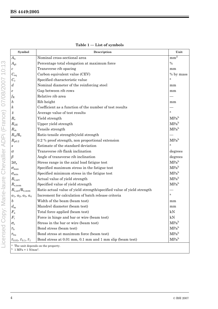<span id="page-9-0"></span>

| Symbol                                                                              | Description                                                            | Unit       |
|-------------------------------------------------------------------------------------|------------------------------------------------------------------------|------------|
| $A_n$                                                                               | Nominal cross-sectional area                                           | $\rm mm^2$ |
| $A_{\rm gt}$                                                                        | Percentage total elongation at maximum force                           | $\%$       |
| $\boldsymbol{c}$                                                                    | Transverse rib spacing                                                 | mm         |
| $C_{eq}$                                                                            | Carbon equivalent value (CEV)                                          | % by mass  |
| $C_{\rm v}$                                                                         | Specified characteristic value                                         | a          |
| $\boldsymbol{d}$                                                                    | Nominal diameter of the reinforcing steel                              | mm         |
| $\it e$                                                                             | Gap between rib rows                                                   | mm         |
| $f_{\rm R}$                                                                         | Relative rib area                                                      |            |
| $\boldsymbol{h}$                                                                    | Rib height                                                             | mm         |
| $\boldsymbol{k}$                                                                    | Coefficient as a function of the number of test results                |            |
| $\overline{x}$                                                                      | Average value of test results                                          | $\rm{a}$   |
| $R_{\rm e}$                                                                         | Yield strength                                                         | $MPa^b$    |
| $R_{\rm eH}$                                                                        | Upper yield strength                                                   | $MPa^b$    |
| $R_{\rm m}$                                                                         | Tensile strength                                                       | $MPa^b$    |
| $R_{\rm m}/R_{\rm e}$                                                               | Ratio tensile strength/yield strength                                  |            |
| $R_{p0.2}$                                                                          | 0.2 % proof strength, non proportional extension                       | $MPa^b$    |
| $\boldsymbol{s}$                                                                    | Estimate of the standard deviation                                     | $\rm{a}$   |
| α                                                                                   | Transverse rib flank inclination                                       | degrees    |
| $\beta$                                                                             | Angle of transverse rib inclination                                    | degrees    |
| $2\sigma_{\rm a}$                                                                   | Stress range in the axial load fatigue test                            | $MPa^b$    |
| $\sigma_{\rm max}$                                                                  | Specified maximum stress in the fatigue test                           | $MPa^b$    |
| $\sigma_{\rm min}$                                                                  | Specified minimum stress in the fatigue test                           | $MPa^b$    |
| $R_{\rm e,act}$                                                                     | Actual value of yield strength                                         | $MPa^b$    |
| $R_{\rm e,nom}$                                                                     | Specified value of yield strength                                      | $MPa^b$    |
| $R_{\rm e,act}/R_{\rm e,nom}$                                                       | Ratio actual value of yield strength/specified value of yield strength |            |
| $a_1, a_2, a_3, a_4$                                                                | Increment for calculation of batch release criteria                    | $\rm{a}$   |
| $\boldsymbol{b}$                                                                    | Width of the beam (beam test)                                          | mm         |
| $d_{\rm m}$                                                                         | Mandrel diameter (beam test)                                           | mm         |
| $F_{\rm a}$                                                                         | Total force applied (beam test)                                        | kN         |
| $F_{\rm i}$                                                                         | Force in hinge and bar or wire (beam test)                             | kN         |
| $\sigma_{\rm s}$                                                                    | Stress in the bar or wire (beam test)                                  | $MPa^b$    |
| $\tau_{\rm b}$                                                                      | Bond stress (beam test)                                                | $MPa^b$    |
| $\tau_\mathrm{bu}$                                                                  | Bond stress at maximum force (beam test)                               | $MPa^b$    |
| $\tau_{0.01}, \tau_{0.1}, \tau_1$                                                   | Bond stress at 0.01 mm, 0.1 mm and 1 mm slip (beam test)               | $MPa^b$    |
| <sup>a</sup> The unit depends on the property.<br>$b$ 1 MPa = 1 N/mm <sup>2</sup> . |                                                                        |            |

**Table 1 — List of symbols**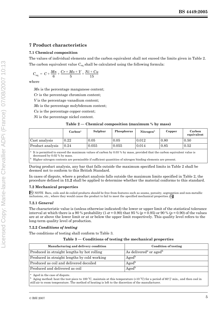## <span id="page-10-0"></span>**7 Product characteristics**

## <span id="page-10-3"></span>**7.1 Chemical composition**

The values of individual elements and the carbon equivalent shall not exceed the limits given in [Table 2](#page-10-1). The carbon equivalent value *C*eq shall be calculated using the following formula:

$$
C_{\text{eq}} \, = \, C + \frac{Mn}{6} + \frac{Cr + Mo + V}{5} + \frac{Ni + Cu}{15}
$$

where

*Mn* is the percentage manganese content;

*Cr* is the percentage chromium content;

*V* is the percentage vanadium content;

*Mo* is the percentage molybdenum content;

*Cu* is the percentage copper content;

*Ni* is the percentage nickel content.

#### **Table 2 — Chemical composition (maximum % by mass)**

<span id="page-10-1"></span>

|                  | $\bf Carbon^a$ | Sulphur   | Phosphorus | Nitrogen <sup>b</sup> | Copper | Carbon<br>equivalent |
|------------------|----------------|-----------|------------|-----------------------|--------|----------------------|
| Cast analysis    | $\rm 0.22$     | $0.05\,$  | 0.05       | 0.012                 | 0.80   | 0.50                 |
| Product analysis | 0.24           | $0.055\,$ | 0.055      | 0.014                 | 0.85   | 0.52                 |

It is permitted to exceed the maximum values of carbon by 0.03 % by mass, provided that the carbon equivalent value is decreased by 0.02 % by mass.

<sup>b</sup> Higher nitrogen contents are permissible if sufficient quantities of nitrogen binding elements are present.

During product analysis, any bar that falls outside the maximum specified limits in [Table 2](#page-10-1) shall be deemed not to conform to this British Standard.

In cases of dispute, where a product analysis falls outside the maximum limits specified in [Table 2,](#page-10-1) the procedure defined in **[11.2](#page-20-1)** shall be applied to determine whether the material conforms to this standard.

### **7.2 Mechanical properties**

 $\mathbb{A}_1$ ) NOTE Bars, coils and de-coiled products should be free from features such as seams, porosity, segregation and non-metallic inclusions, etc., where they would cause the product to fail to meet the specified mechanical properties.  $\overline{A_1}$ 

### **7.2.1** *General*

The characteristic value is (unless otherwise indicated) the lower or upper limit of the statistical tolerance interval at which there is a 90 % probability  $(1-\alpha = 0.90)$  that 95 % ( $p = 0.95$ ) or 90 % ( $p = 0.90$ ) of the values are at or above the lower limit or at or below the upper limit respectively. This quality level refers to the long-term quality level of production.

### **7.2.2** *Conditions of testing*

<span id="page-10-2"></span>The conditions of testing shall conform to [Table 3](#page-10-2).

## **Table 3 — Conditions of testing the mechanical properties**

| Manufacturing and delivery condition         | Condition of testing                           |
|----------------------------------------------|------------------------------------------------|
| Produced in straight lengths by hot rolling  | As delivered <sup>a</sup> or aged <sup>b</sup> |
| Produced in straight lengths by cold working | $A$ ged <sup>b</sup>                           |
| Produced as coil and delivered decoiled      | $Aged^b$                                       |
| Produced and delivered as coil               | $Aged^b$                                       |

<sup>a</sup> Aged in the case of dispute.

<sup>b</sup> Aging method: heat the test piece to 100 °C, maintain at this temperature  $(\pm 10\degree C)$  for a period of 60<sup>+15</sup><sub>10</sub> min., and then cool in still air to room temperature. The method of heating is left to the discretion of the manufacturer.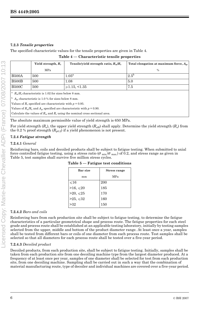## **7.2.3** *Tensile properties*

<span id="page-11-0"></span>The specified characteristic values for the tensile properties are given in [Table 4.](#page-11-0)

|                                                                                 | Yield strength, $R_e$                                                           | Tensile/yield strength ratio, $R_m/R_e$ | Total elongation at maximum force, $A_{\text{st}}$ |  |
|---------------------------------------------------------------------------------|---------------------------------------------------------------------------------|-----------------------------------------|----------------------------------------------------|--|
|                                                                                 | MPa                                                                             |                                         | $\frac{0}{0}$                                      |  |
| <b>B500A</b>                                                                    | 500                                                                             | $1.05^{\mathrm{a}}$                     | $2.5^{\rm b}$                                      |  |
| <b>B500B</b>                                                                    | 500                                                                             | 1.08                                    | 5.0                                                |  |
| <b>B500C</b>                                                                    | 500                                                                             | $\geq 1.15, \leq 1.35$                  | 7.5                                                |  |
| <sup>a</sup> $R_m/R_e$ characteristic is 1.02 for sizes below 8 mm.             |                                                                                 |                                         |                                                    |  |
| $h_{\text{et}}$ characteristic is 1.0 % for sizes below 8 mm.                   |                                                                                 |                                         |                                                    |  |
| Values of $R_a$ specified are characteristic with $p = 0.95$ .                  |                                                                                 |                                         |                                                    |  |
| Values of $R_m/R_e$ and $A_{gt}$ specified are characteristic with $p = 0.90$ . |                                                                                 |                                         |                                                    |  |
|                                                                                 | Calculate the values of $R_m$ and $R_e$ using the nominal cross sectional area. |                                         |                                                    |  |

|  | Table 4 – Characteristic tensile properties |  |  |
|--|---------------------------------------------|--|--|
|--|---------------------------------------------|--|--|

The absolute maximum permissible value of yield strength is 650 MPa.

For yield strength  $(R_e)$ , the upper yield strength  $(R_{\text{eff}})$  shall apply. Determine the yield strength  $(R_e)$  from the 0.2 % proof strength  $(R_{p0.2})$  if a yield phenomenon is not present.

## **7.2.4** *Fatigue strength*

## **7.2.4.1** *General*

<span id="page-11-1"></span>Reinforcing bars, coils and decoiled products shall be subject to fatigue testing. When submitted to axial force controlled fatigue testing, using a stress ratio ( $\sigma_{min}/\sigma_{max}$ ) of 0.2, and stress range as given in [Table 5](#page-11-1), test samples shall survive five million stress cycles.

| Bar size       | Stress range |
|----------------|--------------|
| mm             | MPa          |
| $\leqslant$ 16 | 200          |
| $>16, \le 20$  | 185          |
| $>20, \le 25$  | 170          |
| $>25, \le 32$  | 160          |
| >32            | 150          |

**Table 5 — Fatigue test conditions**

## **7.2.4.2** *Bars and coils*

Reinforcing bars from each production site shall be subject to fatigue testing, to determine the fatigue characteristics of a particular geometrical shape and process route. The fatigue properties for each steel grade and process route shall be established at an applicable testing laboratory, initially by testing samples selected from the upper, middle and bottom of the product diameter range. At least once a year, samples shall be tested from different bars or coils of one diameter from each process route. Test samples shall be selected so that all diameters for each process route shall be tested over a five-year period.

## **7.2.4.3** *Decoiled product*

Decoiled products, from each production site, shall be subject to fatigue testing. Initially, samples shall be taken from each production site from one decoiling machine type from the largest diameter produced. At a frequency of at least once per year, samples of one diameter shall be selected for test from each production site, from one decoiling machine. Sampling shall be carried out in such a way that the combination of material manufacturing route, type of decoiler and individual machines are covered over a five-year period.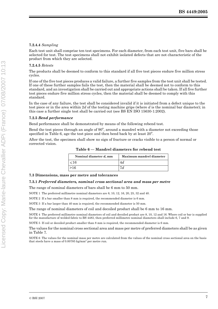### **7.2.4.4** *Sampling*

Each test unit shall comprise ten test specimens. For each diameter, from each test unit, five bars shall be selected for test. The test specimens shall not exhibit isolated defects that are not characteristic of the product from which they are selected.

#### **7.2.4.5** *Retests*

The products shall be deemed to conform to this standard if all five test pieces endure five million stress cycles.

If one of the five test pieces produces a valid failure, a further five samples from the test unit shall be tested. If one of these further samples fails the test, then the material shall be deemed not to conform to this standard, and an investigation shall be carried out and appropriate actions shall be taken. If all five further test pieces endure five million stress cycles, then the material shall be deemed to comply with this standard.

In the case of any failure, the test shall be considered invalid if it is initiated from a defect unique to the test piece or in the area within 2*d* of the testing machine grips (where *d* is the nominal bar diameter); in this case a further single test shall be carried out (see BS EN ISO 15630-1:2002).

#### **7.2.5** *Bend performance*

Bend performance shall be demonstrated by means of the following rebend test.

Bend the test pieces through an angle of 90°, around a mandrel with a diameter not exceeding those specified in [Table 6](#page-12-0), age the test piece and then bend back by at least 20°.

<span id="page-12-0"></span>After the test, the specimen shall show no sign of fracture or cracks visible to a person of normal or corrected vision.

| Nominal diameter d, mm | Maximum mandrel diameter |
|------------------------|--------------------------|
| $\leq 16$              |                          |
| >16                    |                          |

#### **Table 6 — Mandrel diameters for rebend test**

#### **7.3 Dimensions, mass per metre and tolerances**

#### **7.3.1** *Preferred diameters, nominal cross sectional area and mass per metre*

The range of nominal diameters of bars shall be 6 mm to 50 mm.

NOTE 1 The preferred millimetre nominal diameters are 8, 10, 12, 16, 20, 25, 32 and 40.

NOTE 2 If a bar smaller than 8 mm is required, the recommended diameter is 6 mm.

NOTE 3 If a bar larger than 40 mm is required, the recommended diameter is 50 mm.

The range of nominal diameters of coil and decoiled product shall be 6 mm to 16 mm.

NOTE 4 The preferred millimetre nominal diameters of coil and decoiled product are 8, 10, 12 and 16. Where coil or bar is supplied for the manufacture of welded fabric to BS 4483, then preferred millimetre nominal diameters shall include 6, 7 and 9.

NOTE 5 If coil or decoiled product smaller than 8 mm is required, the recommended diameter is 6 mm.

The values for the nominal cross sectional area and mass per metre of preferred diameters shall be as given in [Table 7.](#page-13-0)

NOTE 6 The values for the nominal mass per metre are calculated from the values of the nominal cross sectional area on the basis that steels have a mass of  $0.00785 \text{ kg/mm}^2$  per metre run.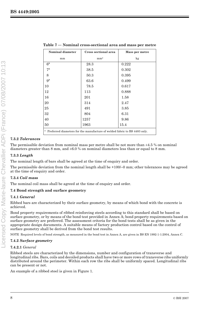| Nominal diameter                                                               | Cross sectional area | Mass per metre |  |
|--------------------------------------------------------------------------------|----------------------|----------------|--|
| mm                                                                             | mm <sup>2</sup>      | kg             |  |
| $6^{\rm a}$                                                                    | 28.3                 | 0.222          |  |
| $7^{\rm a}$                                                                    | 38.5                 | 0.302          |  |
| 8                                                                              | 50.3                 | 0.395          |  |
| $9^{\rm a}$                                                                    | 63.6                 | 0.499          |  |
| 10                                                                             | 78.5                 | 0.617          |  |
| 12                                                                             | 113                  | 0.888          |  |
| 16                                                                             | 201                  | 1.58           |  |
| 20                                                                             | 314                  | 2.47           |  |
| 25                                                                             | 491                  | 3.85           |  |
| 32                                                                             | 804                  | 6.31           |  |
| 40                                                                             | 1257                 | 9.86           |  |
| 50                                                                             | 1963                 | 15.4           |  |
| Preferred diameters for the manufacture of welded fabric to BS 4483 only.<br>a |                      |                |  |

<span id="page-13-0"></span>**Table 7 — Nominal cross-sectional area and mass per metre**

## **7.3.2** *Tolerances*

The permissible deviation from nominal mass per metre shall be not more than  $\pm 4.5$  % on nominal diameters greater than  $8 \text{ mm}$ , and  $\pm 6.0 \%$  on nominal diameters less than or equal to  $8 \text{ mm}$ .

## **7.3.3** *Length*

The nominal length of bars shall be agreed at the time of enquiry and order.

The permissible deviation from the nominal length shall be +100/–0 mm; other tolerances may be agreed at the time of enquiry and order.

## **7.3.4** *Coil mass*

The nominal coil mass shall be agreed at the time of enquiry and order.

## <span id="page-13-1"></span>**7.4 Bond strength and surface geometry**

## **7.4.1** *General*

Ribbed bars are characterized by their surface geometry, by means of which bond with the concrete is achieved.

Bond property requirements of ribbed reinforcing steels according to this standard shall be based on surface geometry, or by means of the bond test provided in [Annex A;](#page-21-0) bond property requirements based on surface geometry are preferred. The assessment criteria for the bond tests shall be as given in the appropriate design documents. A suitable means of factory production control based on the control of surface geometry shall be derived from the bond test results.

NOTE Required levels of bond strength, as measured in the bond test in [Annex A](#page-21-0), are given in BS EN 1992-1-1:2004, Annex C.

## **7.4.2** *Surface geometry*

### **7.4.2.1** *General*

Ribbed steels are characterized by the dimensions, number and configuration of transverse and longitudinal ribs. Bars, coils and decoiled products shall have two or more rows of transverse ribs uniformly distributed around the perimeter. Within each row the ribs shall be uniformly spaced. Longitudinal ribs can be present or not.

An example of a ribbed steel is given in [Figure 1](#page-14-0).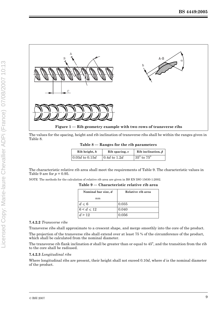

<span id="page-14-1"></span><span id="page-14-0"></span>The values for the spacing, height and rib inclination of transverse ribs shall be within the ranges given in [Table 8.](#page-14-1)

**Table 8 — Ranges for the rib parameters**

| Rib height, h      | Rib spacing, c    | Rib inclination, $\beta$     |
|--------------------|-------------------|------------------------------|
| $0.03d$ to $0.15d$ | $10.4d$ to $1.2d$ | $35^{\circ}$ to $75^{\circ}$ |

The characteristic relative rib area shall meet the requirements of [Table 9](#page-14-2). The characteristic values in [Table 9](#page-14-2) are for *p* = 0.95.

<span id="page-14-2"></span>NOTE The methods for the calculation of relative rib area are given in BS EN ISO 15630-1:2002.

**Table 9 — Characteristic relative rib area**

| Nominal bar size, d | Relative rib area |
|---------------------|-------------------|
| mm                  |                   |
| $d \leqslant 6$     | 0.035             |
| $6 < d \leq 12$     | 0.040             |
| d > 12              | 0.056             |

#### **7.4.2.2** *Transverse ribs*

Transverse ribs shall approximate to a crescent shape, and merge smoothly into the core of the product.

The projection of the transverse ribs shall extend over at least 75 % of the circumference of the product, which shall be calculated from the nominal diameter.

The transverse rib flank inclination  $\alpha$  shall be greater than or equal to 45°, and the transition from the rib to the core shall be radiused.

#### **7.4.2.3** *Longitudinal ribs*

Where longitudinal ribs are present, their height shall not exceed 0.10*d*, where *d* is the nominal diameter of the product.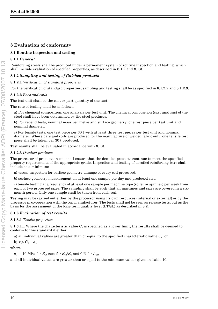## <span id="page-15-0"></span>**8 Evaluation of conformity**

## **8.1 Routine inspection and testing**

## **8.1.1** *General*

Reinforcing steels shall be produced under a permanent system of routine inspection and testing, which shall include evaluation of specified properties, as described in **8.1.2** and **8.1.3**.

## **8.1.2** *Sampling and testing of finished products*

### **8.1.2.1** *Verification of standard properties*

For the verification of standard properties, sampling and testing shall be as specified in **8.1.2.2** and **8.1.2.3**.

### **8.1.2.2** *Bars and coils*

The test unit shall be the cast or part quantity of the cast.

The rate of testing shall be as follows.

a) For chemical composition, one analysis per test unit. The chemical composition (cast analysis) of the steel shall have been determined by the steel producer.

b) For rebend tests, nominal mass per metre and surface geometry, one test piece per test unit and nominal diameter.

c) For tensile tests, one test piece per 30 t with at least three test pieces per test unit and nominal diameter. Where bars and coils are produced for the manufacture of welded fabric only, one tensile test piece shall be taken per 30 t produced.

Test results shall be evaluated in accordance with **8.1.3**.

#### **8.1.2.3** *Decoiled products*

The processor of products in coil shall ensure that the decoiled products continue to meet the specified property requirements of the appropriate grade. Inspection and testing of decoiled reinforcing bars shall include as a minimum:

a) visual inspection for surface geometry damage of every coil processed;

b) surface geometry measurement on at least one sample per day and produced size;

c) tensile testing at a frequency of at least one sample per machine type (roller or spinner) per week from each of two processed sizes. The sampling shall be such that all machines and sizes are covered in a sixmonth period. Only one sample shall be taken from each coil.

Testing may be carried out either by the processor using its own resources (internal or external) or by the processor in co-operation with the coil manufacturer. The tests shall not be seen as release tests, but as the basis for the assessment of the long-term quality level (LTQL) as described in **[8.2](#page-16-1)**.

### **8.1.3** *Evaluation of test results*

### **8.1.3.1** *Tensile properties*

**8.1.3.1.1** Where the characteristic value *C*v is specified as a lower limit, the results shall be deemed to conform to this standard if either:

a) all individual values are greater than or equal to the specified characteristic value *C*v; or

b)  $\bar{x} \geq C_v + a_1$ 

where

 $a_1$  is 10 MPa for  $R_e$ , zero for  $R_m/R_e$  and 0 % for  $A_{gt}$ ,

and all individual values are greater than or equal to the minimum values given in [Table 10](#page-16-0).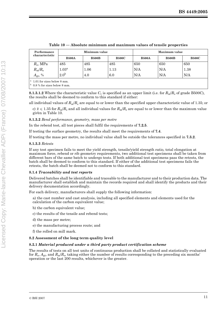<span id="page-16-0"></span>

| Performance<br>characteristic       | Minimum value     |              |              | Maximum value |              |              |
|-------------------------------------|-------------------|--------------|--------------|---------------|--------------|--------------|
|                                     | <b>B500A</b>      | <b>B500B</b> | <b>B500C</b> | <b>B500A</b>  | <b>B500B</b> | <b>B500C</b> |
| $R_{\rm e}$ , MPa                   | 485               | 485          | 485          | 650           | 650          | 650          |
| $R_{\rm m}/R_{\rm e}$               | 1.03 <sup>a</sup> | 1.06         | 1.13         | N/A           | N/A          | 1.38         |
| $A_{gt}$ , %                        | 2.0 <sup>b</sup>  | 4.0          | 6.0          | N/A           | N/A          | N/A          |
| $\alpha$ 1.01 for sizes below 8 mm. |                   |              |              |               |              |              |

**Table 10 — Absolute minimum and maximum values of tensile properties**

 $b$  0.8 % for sizes below 8 mm.

**8.1.3.1.2** Where the characteristic value  $C_v$  is specified as an upper limit (i.e. for  $R_m/R_e$  of grade B500C), the results shall be deemed to conform to this standard if either:

all individual values of  $R_m/R_e$  are equal to or lower than the specified upper characteristic value of 1.35; or

c)  $\bar{x} \leqslant 1.35$  for  $R_{\rm m}/R_{\rm e}$  and all individual values for  $R_{\rm m}/R_{\rm e}$  are equal to or lower than the maximum value given in [Table 10.](#page-16-0)

#### **8.1.3.2** *Bend performance, geometry, mass per metre*

In the rebend test, all test pieces shall fulfil the requirements of **7.2.5**.

If testing the surface geometry, the results shall meet the requirements of **[7.4](#page-13-1)**.

If testing the mass per metre, no individual value shall be outside the tolerances specified in **7.3.2**.

#### **8.1.3.3** *Retests*

If any test specimen fails to meet the yield strength, tensile/yield strength ratio, total elongation at maximum force, rebend or rib geometry requirements, two additional test specimens shall be taken from different bars of the same batch to undergo tests. If both additional test specimens pass the retests, the batch shall be deemed to conform to this standard. If either of the additional test specimens fails the retests, the batch shall be deemed not to conform to this standard.

### **8.1.4** *Traceability and test reports*

Delivered batches shall be identifiable and traceable to the manufacturer and to their production data. The manufacturer shall establish and maintain the records required and shall identify the products and their delivery documentation accordingly.

For each delivery, manufacturers shall supply the following information:

a) the cast number and cast analysis, including all specified elements and elements used for the calculation of the carbon equivalent value;

- b) the carbon equivalent value;
- c) the results of the tensile and rebend tests;
- d) the mass per metre;
- e) the manufacturing process route; and
- f) the rolled on mill mark.

#### <span id="page-16-1"></span>**8.2 Assessment of the long term quality level**

#### **8.2.1** *Material produced under a third party product certification scheme*

The results of tests on all test units of continuous production shall be collated and statistically evaluated for  $R_{\rm e}$ ,  $A_{\rm gt}$ , and  $R_{\rm m}/R_{\rm e}$ , taking either the number of results corresponding to the preceding six months' operation or the last 200 results, whichever is the greater.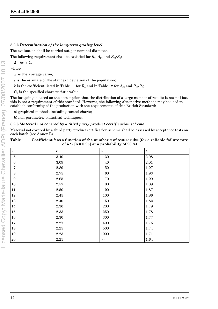## **8.2.2** *Determination of the long-term quality level*

The evaluation shall be carried out per nominal diameter.

The following requirement shall be satisfied for  $R_{\rm e}$ ,  $A_{\rm gt}$  and  $R_{\rm m}/R_{\rm e}$ :

 $\bar{x} - ks \geqslant C_{\rm v}$ 

## where

 $\bar{x}$  is the average value;

*s* is the estimate of the standard deviation of the population;

*k* is the coefficient listed in [Table 11](#page-17-0) for  $R_e$  and in [Table 12](#page-18-2) for  $A_{gt}$  and  $R_m/R_e$ ;

 $C_{v}$  is the specified characteristic value.

The foregoing is based on the assumption that the distribution of a large number of results is normal but this is not a requirement of this standard. However, the following alternative methods may be used to establish conformity of the production with the requirements of this British Standard:

a) graphical methods including control charts;

b) non-parametric statistical techniques.

## **8.2.3** *Material not covered by a third party product certification scheme*

Material not covered by a third party product certification scheme shall be assessed by acceptance tests on each batch (see [Annex B\)](#page-28-0).

#### <span id="page-17-0"></span>**Table 11 — Coefficient** *k* **as a function of the number** *n* **of test results (for a reliable failure rate of 5 % [***p* **= 0.95] at a probability of 90 %)**

| $\boldsymbol{n}$ | $\boldsymbol{k}$ | $\boldsymbol{n}$ | $\boldsymbol{k}$ |
|------------------|------------------|------------------|------------------|
| $\bf 5$          | 3.40             | $30\,$           | 2.08             |
| $\,6\,$          | 3.09             | 40               | $2.01\,$         |
| $\overline{7}$   | 2.89             | 50               | 1.97             |
| $\,8\,$          | 2.75             | 60               | 1.93             |
| 9                | $2.65\,$         | 70               | 1.90             |
| $10\,$           | $2.57\,$         | 80               | 1.89             |
| $11\,$           | $2.50\,$         | 90               | 1.87             |
| $12\,$           | $2.45\,$         | 100              | 1.86             |
| $13\,$           | 2.40             | 150              | 1.82             |
| $14\,$           | $2.36\,$         | 200              | 1.79             |
| $15\,$           | 2.33             | 250              | 1.78             |
| $16\,$           | 2.30             | 300              | 1.77             |
| $17\,$           | $2.27\,$         | 400              | 1.75             |
| 18               | $2.25\,$         | 500              | 1.74             |
| 19               | 2.23             | 1000             | 1.71             |
| $20\,$           | 2.21             | $\infty$         | 1.64             |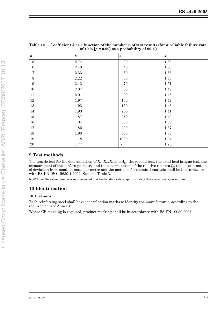| 2.74<br>5<br>2.49<br>6<br>2.33<br>7<br>2.22<br>8<br>2.13<br>9<br>2.07<br>10<br>2.01<br>11<br>12<br>1.97<br>1.93<br>13<br>1.90<br>14<br>1.87<br>15<br>1.84<br>16<br>1.82<br>17<br>1.80<br>18<br>19<br>1.78<br>1.77<br>20 | 30<br>40<br>50<br>60<br>70<br>80<br>90<br>100<br>150<br>200<br>250<br>300<br>400<br>500<br>1000<br>$\infty$ | 1.66<br>1.60<br>1.56<br>1.53<br>1.51<br>1.49<br>1.48<br>1.47<br>1.43<br>1.41<br>1.40<br>1.39<br>1.37<br>1.36<br>1.34<br>1.28 |    |
|-------------------------------------------------------------------------------------------------------------------------------------------------------------------------------------------------------------------------|-------------------------------------------------------------------------------------------------------------|------------------------------------------------------------------------------------------------------------------------------|----|
|                                                                                                                                                                                                                         |                                                                                                             |                                                                                                                              |    |
|                                                                                                                                                                                                                         |                                                                                                             |                                                                                                                              |    |
|                                                                                                                                                                                                                         |                                                                                                             |                                                                                                                              |    |
|                                                                                                                                                                                                                         |                                                                                                             |                                                                                                                              |    |
|                                                                                                                                                                                                                         |                                                                                                             |                                                                                                                              |    |
|                                                                                                                                                                                                                         |                                                                                                             |                                                                                                                              |    |
|                                                                                                                                                                                                                         |                                                                                                             |                                                                                                                              |    |
|                                                                                                                                                                                                                         |                                                                                                             |                                                                                                                              |    |
|                                                                                                                                                                                                                         |                                                                                                             |                                                                                                                              |    |
|                                                                                                                                                                                                                         |                                                                                                             |                                                                                                                              |    |
|                                                                                                                                                                                                                         |                                                                                                             |                                                                                                                              |    |
|                                                                                                                                                                                                                         |                                                                                                             |                                                                                                                              |    |
|                                                                                                                                                                                                                         |                                                                                                             |                                                                                                                              |    |
|                                                                                                                                                                                                                         |                                                                                                             |                                                                                                                              |    |
|                                                                                                                                                                                                                         |                                                                                                             |                                                                                                                              |    |
|                                                                                                                                                                                                                         |                                                                                                             |                                                                                                                              |    |
| NOTE For the rebend test, it is recommended that the bending rate is approximately three revolutions per minute.<br><b>10 Identification</b>                                                                            |                                                                                                             |                                                                                                                              |    |
| 10.1 General                                                                                                                                                                                                            |                                                                                                             |                                                                                                                              |    |
| Each reinforcing steel shall have identification marks to identify the manufacturer, according to the<br>requirements of Annex C.                                                                                       |                                                                                                             |                                                                                                                              |    |
| Where CE marking is required, product marking shall be in accordance with BS EN 10080:2005.                                                                                                                             |                                                                                                             |                                                                                                                              |    |
| $\ensuremath{\mathbb{O}}$ BSI 2007                                                                                                                                                                                      |                                                                                                             |                                                                                                                              | 13 |

<span id="page-18-2"></span>**Table 12 — Coefficient** *k* **as a function of the number** *n* **of test results (for a reliable failure rate of 10 % [***p* **= 0.90] at a probability of 90 %)**

## <span id="page-18-0"></span>**9 Test methods**

## <span id="page-18-1"></span>**10 Identification**

### **10.1 General**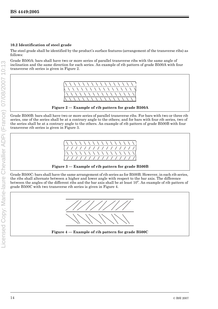## **10.2 Identification of steel grade**

The steel grade shall be identified by the product's surface features (arrangement of the transverse ribs) as follows:

Grade B500A: bars shall have two or more series of parallel transverse ribs with the same angle of inclination and the same direction for each series. An example of rib pattern of grade B500A with four transverse rib series is given in [Figure 2.](#page-19-0)



**Figure 2 — Example of rib pattern for grade B500A**

<span id="page-19-0"></span>Grade B500B: bars shall have two or more series of parallel transverse ribs. For bars with two or three rib series, one of the series shall be at a contrary angle to the others; and for bars with four rib series, two of the series shall be at a contrary angle to the others. An example of rib pattern of grade B500B with four transverse rib series is given in [Figure 3.](#page-19-1)



**Figure 3 — Example of rib pattern for grade B500B**

<span id="page-19-1"></span>Grade B500C: bars shall have the same arrangement of rib series as for B500B. However, in each rib series, the ribs shall alternate between a higher and lower angle with respect to the bar axis. The difference between the angles of the different ribs and the bar axis shall be at least 10°. An example of rib pattern of grade B500C with two transverse rib series is given in [Figure 4.](#page-19-2)



<span id="page-19-2"></span>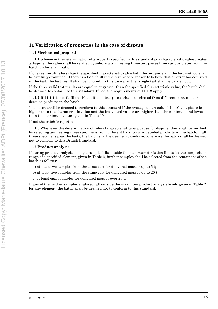## <span id="page-20-0"></span>**11 Verification of properties in the case of dispute**

## **11.1 Mechanical properties**

**11.1.1** Whenever the determination of a property specified in this standard as a characteristic value creates a dispute, the value shall be verified by selecting and testing three test pieces from various pieces from the batch under examination.

If one test result is less than the specified characteristic value both the test piece and the test method shall be carefully examined. If there is a local fault in the test piece or reason to believe that an error has occurred in the test, the test result shall be ignored. In this case a further single test shall be carried out.

If the three valid test results are equal to or greater than the specified characteristic value, the batch shall be deemed to conform to this standard. If not, the requirements of **11.1.2** apply.

**11.1.2** If **11.1.1** is not fulfilled, 10 additional test pieces shall be selected from different bars, coils or decoiled products in the batch.

The batch shall be deemed to conform to this standard if the average test result of the 10 test pieces is higher than the characteristic value and the individual values are higher than the minimum and lower than the maximum values given in [Table 10](#page-16-0).

If not the batch is rejected.

**11.1.3** Whenever the determination of rebend characteristics is a cause for dispute, they shall be verified by selecting and testing three specimens from different bars, coils or decoiled products in the batch. If all three specimens pass the tests, the batch shall be deemed to conform, otherwise the batch shall be deemed not to conform to this British Standard.

### <span id="page-20-1"></span>**11.2 Product analysis**

If during product analysis, a single sample falls outside the maximum deviation limits for the composition range of a specified element, given in [Table 2](#page-10-1), further samples shall be selected from the remainder of the batch as follows:

a) at least two samples from the same cast for delivered masses up to 5 t;

- b) at least five samples from the same cast for delivered masses up to 20 t;
- c) at least eight samples for delivered masses over 20 t.

If any of the further samples analysed fall outside the maximum product analysis levels given in [Table 2](#page-10-1) for any element, the batch shall be deemed not to conform to this standard.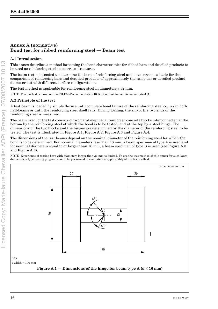## <span id="page-21-0"></span>**Annex A (normative) Bond test for ribbed reinforcing steel — Beam test**

## **A.1 Introduction**

This annex describes a method for testing the bond characteristics for ribbed bars and decoiled products to be used as reinforcing steel in concrete structures.

The beam test is intended to determine the bond of reinforcing steel and is to serve as a basis for the comparison of reinforcing bars and decoiled products of approximately the same bar or decoiled product diameter but with different surface configurations.

The test method is applicable for reinforcing steel in diameters  $\leq 32$  mm.

NOTE The method is based on the RILEM-Recommendation RC5, Bond test for reinforcement steel [1].

### **A.2 Principle of the test**

A test beam is loaded by simple flexure until complete bond failure of the reinforcing steel occurs in both half-beams or until the reinforcing steel itself fails. During loading, the slip of the two ends of the reinforcing steel is measured.

The beam used for the test consists of two parallelepipedal reinforced concrete blocks interconnected at the bottom by the reinforcing steel of which the bond is to be tested, and at the top by a steel hinge. The dimensions of the two blocks and the hinges are determined by the diameter of the reinforcing steel to be tested. The test is illustrated in [Figure A.1,](#page-21-1) [Figure A.2](#page-22-0), [Figure A.3](#page-22-1) and [Figure A.4.](#page-23-0)

The dimensions of the test beams depend on the nominal diameter of the reinforcing steel for which the bond is to be determined. For nominal diameters less than 16 mm, a beam specimen of type A is used and for nominal diameters equal to or larger than 16 mm, a beam specimen of type B is used (see [Figure A.3](#page-22-1) and [Figure A.4](#page-23-0)).

NOTE Experience of testing bars with diameters larger than 32 mm is limited. To use the test method of this annex for such large diameters, a type testing program should be performed to evaluate the applicability of the test method.



<span id="page-21-1"></span>**Key**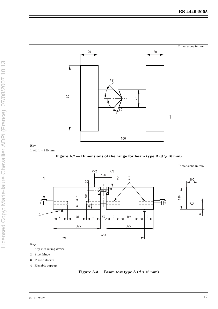<span id="page-22-1"></span><span id="page-22-0"></span>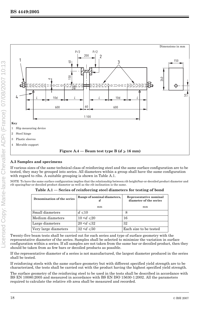

## <span id="page-23-0"></span>**A.3 Samples and specimens**

If various sizes of the same technical class of reinforcing steel and the same surface configuration are to be tested, they may be grouped into series. All diameters within a group shall have the same configuration with regard to ribs. A suitable grouping is shown in [Table A.1](#page-23-1).

<span id="page-23-1"></span>NOTE To have the same surface configuration implies that the relationship between rib height/bar-or-decoiled product diameter and rib spacing/bar-or-decoiled product diameter as well as the rib inclination is the same.

**Table A.1 — Series of reinforcing steel diameters for testing of bond**

| Denomination of the series | Range of nominal diameters, | Representative nominal<br>diameter of the series |  |
|----------------------------|-----------------------------|--------------------------------------------------|--|
|                            | mm                          | mm                                               |  |
| Small diameters            | $d \leq 10$                 | 8                                                |  |
| Medium diameters           | $10 < d \le 20$             | 16                                               |  |
| Large diameters            | $20 < d \leqslant 32$       | 32                                               |  |
| Very large diameters       | $32 < d \le 50$             | Each size to be tested                           |  |

Twenty-five beam tests shall be carried out for each series and type of surface geometry with the representative diameter of the series. Samples shall be selected to minimize the variation in surface configuration within a series. If all samples are not taken from the same bar or decoiled product, then they should be taken from as few bars or decoiled products as possible.

If the representative diameter of a series is not manufactured, the largest diameter produced in the series shall be tested.

If reinforcing steels with the same surface geometry but with different specified yield strength are to be characterized, the tests shall be carried out with the product having the highest specified yield strength.

The surface geometry of the reinforcing steel to be used in the tests shall be described in accordance with BS EN 10080:2005 and measured in accordance with BS EN ISO 15630-1:2002. All the parameters required to calculate the relative rib area shall be measured and recorded.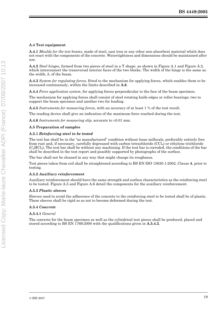### **A.4 Test equipment**

**A.4.1** *Moulds for the test beams*, made of steel, cast iron or any other non-absorbent material which does not react with the components of the concrete. Watertightness and dimensions should be maintained after use.

**A.4.2** *Steel hinges*, formed from two pieces of steel in a T shape, as shown in [Figure A.1](#page-21-1) and [Figure A.2](#page-22-0), which interconnect the transversal interior faces of the two blocks. The width of the hinge is the same as the width, *b*, of the beam.

**A.4.3** *System for regulating forces*, fitted to the mechanism for applying forces, which enables them to be increased continuously, within the limits described in **[A.6](#page-26-1)**.

**A.4.4** *Force application system*, for applying forces perpendicular to the face of the beam specimen.

The mechanism for applying forces shall consist of steel rotating knife-edges or roller bearings; two to support the beam specimen and another two for loading.

**A.4.5** *Instruments for measuring forces*, with an accuracy of at least 1 % of the test result.

The reading device shall give an indication of the maximum force reached during the test.

**A.4.6** *Instruments for measuring slip*, accurate to ±0.01 mm.

#### **A.5 Preparation of samples**

#### **A.5.1** *Reinforcing steel to be tested*

The test bar shall be in the "as manufactured" condition without loose millscale, preferably entirely free from rust and, if necessary, carefully degreased with carbon tetrachloride (CCl4) or ethylene trichloride  $(C_2HC_3)$ . The test bar shall be without any machining. If the test bar is corroded, the conditions of the bar shall be described in the test report and possibly supported by photographs of the surface.

The bar shall not be cleaned in any way that might change its roughness.

Test pieces taken from coil shall be straightened according to BS EN ISO 15630-1:2002, Clause **4**, prior to testing.

#### **A.5.2** *Auxiliary reinforcement*

Auxiliary reinforcement should have the same strength and surface characteristics as the reinforcing steel to be tested. [Figure A.5](#page-25-0) and [Figure A.6](#page-26-0) detail the components for the auxiliary reinforcement.

#### **A.5.3** *Plastic sleeves*

Sleeves used to avoid the adherence of the concrete to the reinforcing steel to be tested shall be of plastic. These sleeves shall be rigid so as not to become deformed during the test.

#### **A.5.4** *Concrete*

#### **A.5.4.1** *General*

The concrete for the beam specimen as well as the cylindrical test pieces shall be produced, placed and stored according to BS EN 1766:2000 with the qualifications given in **A.5.4.2**.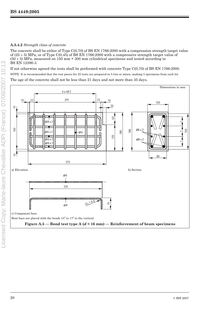## **A.5.4.2** *Strength class of concrete*

The concrete shall be either of Type C(0,70) of BS EN 1766:2000 with a compression strength target value of  $(25 \pm 5)$  MPa, or of Type C(0,45) of BS EN 1766:2000 with a compressive strength target value of  $(50 \pm 5)$  MPa, measured on 150 mm  $\times$  300 mm cylindrical specimens and tested according to BS EN 12390-3.

If not otherwise agreed the tests shall be performed with concrete Type C(0,70) of BS EN 1766:2000.

NOTE It is recommended that the test pieces for 25 tests are prepared in 5 lots or mixes, making 5 specimens from each lot. The age of the concrete shall not be less than 21 days and not more than 35 days.

<span id="page-25-0"></span>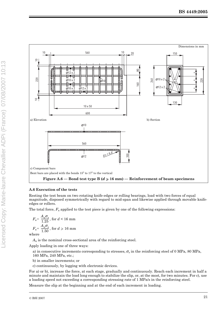

### <span id="page-26-1"></span><span id="page-26-0"></span>**A.6 Execution of the tests**

Resting the test beam on two rotating knife-edges or rolling bearings, load with two forces of equal magnitude, disposed symmetrically with regard to mid-span and likewise applied through movable knifeedges or rollers.

The total force,  $F_a$  applied to the test piece is given by one of the following expressions:

$$
F_{\rm a} = \frac{A_{\rm n}\sigma_{\rm s}}{1.25}
$$
, for  $d < 16$  mm  

$$
F_{\rm a} = \frac{A_{\rm n}\sigma_{\rm s}}{1.50}
$$
, for  $d \ge 16$  mm

where

*A*n is the nominal cross-sectional area of the reinforcing steel.

Apply loading in one of three ways:

- a) in consecutive increments corresponding to stresses,  $\sigma_s$  in the reinforcing steel of 0 MPa, 80 MPa, 160 MPa, 240 MPa, etc.;
- b) in smaller increments; or
- c) continuously, by logging with electronic devices.

For a) or b), increase the force, at each stage, gradually and continuously. Reach each increment in half a minute and maintain the load long enough to stabilize the slip, or, at the most, for two minutes. For c), use a loading speed not exceeding a corresponding stressing rate of 1 MPa/s in the reinforcing steel.

Measure the slip at the beginning and at the end of each increment in loading.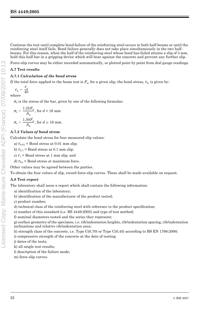Continue the test until complete bond failure of the reinforcing steel occurs in both half-beams or until the reinforcing steel itself fails. Bond failure generally does not take place simultaneously in the two halfbeams. For this reason, when the half of the reinforcing steel whose bond has failed attains a slip of 3 mm, hold this half-bar in a gripping device which will bear against the concrete and prevent any further slip.

Force-slip curves may be either recorded automatically, or plotted point by point from dial gauge readings.

## **A.7 Test results**

## **A.7.1** *Calculation of the bond stress*

If the total force applied to the beam test is  $F_a$ , for a given slip, the bond stress,  $\tau_b$ , is given by:

$$
\tau_{\rm b} = \frac{\tau_{\rm s}}{40}
$$
 where

 $\sigma_s$  is the stress of the bar, given by one of the following formulae:

$$
\sigma_{\rm s} = \frac{1.25F_{\rm a}}{A_{\rm n}}, \text{ for } d < 16 \text{ mm}
$$
\n
$$
\sigma_{\rm s} = \frac{1.50F_{\rm a}}{A_{\rm n}}, \text{ for } d \geq 16 \text{ mm}.
$$

## **A.7.2** *Values of bond stress*

Calculate the bond stress for four measured slip values:

a)  $\tau_{0.01}$  = Bond stress at 0.01 mm slip;

b)  $\tau_{0,1}$  = Bond stress at 0.1 mm slip;

c)  $\tau_1$  = Bond stress at 1 mm slip; and

d)  $\tau_{\text{bu}}$  = Bond stress at maximum force.

Other values may be agreed between the parties.

To obtain the four values of slip, record force-slip curves. These shall be made available on request.

### **A.8 Test report**

The laboratory shall issue a report which shall contain the following information:

- a) identification of the laboratory;
- b) identification of the manufacturer of the product tested;
- c) product number;
- d) technical class of the reinforcing steel with reference to the product specification;
- e) number of this standard (i.e. BS 4449:2005) and type of test method;
- f) nominal diameters tested and the series they represent;

g) surface geometry of the specimen, i.e. rib/indentation heights, rib/indentation spacing, rib/indentation inclinations and relative rib/indentation area;

h) strength class of the concrete, i.e. Type C(0,70) or Type C(0,45) according to BS EN 1766:2000;

i) compressive strength of the concrete at the date of testing;

- j) dates of the tests;
- k) all single test results;
- l) description of the failure mode;
- m) force-slip curves.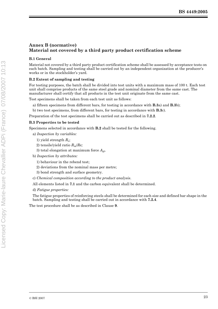## <span id="page-28-0"></span>**Annex B (normative) Material not covered by a third party product certification scheme**

## **B.1 General**

Material not covered by a third party product certification scheme shall be assessed by acceptance tests on each batch. Sampling and testing shall be carried out by an independent organization at the producer's works or in the stockholder's yard.

## <span id="page-28-2"></span>**B.2 Extent of sampling and testing**

For testing purposes, the batch shall be divided into test units with a maximum mass of 100 t. Each test unit shall comprise products of the same steel grade and nominal diameter from the same cast. The manufacturer shall certify that all products in the test unit originate from the same cast.

Test specimens shall be taken from each test unit as follows:

- a) fifteen specimens from different bars, for testing in accordance with **[B.3](#page-28-1)**a) and **[B.3](#page-28-1)**b);
- b) two test specimens, from different bars, for testing in accordance with **[B.3](#page-28-1)**c).

Preparation of the test specimens shall be carried out as described in **7.2.2**.

### <span id="page-28-1"></span>**B.3 Properties to be tested**

Specimens selected in accordance with **[B.2](#page-28-2)** shall be tested for the following.

- a) *Inspection by variables:*
	- 1) yield strength  $R_e$ ;
	- 2) tensile/yield ratio *R*m/*Re;*
	- 3) total elongation at maximum force  $A_{\sigma t}$ .
- b) *Inspection by attributes:*
	- 1) behaviour in the rebend test;
	- 2) deviations from the nominal mass per metre;
	- 3) bond strength and surface geometry.
- c) *Chemical composition according to the product analysis*.
- All elements listed in **[7.1](#page-10-3)** and the carbon equivalent shall be determined.
- d) *Fatigue properties:*

The fatigue properties of reinforcing steels shall be determined for each size and defined bar shape in the batch. Sampling and testing shall be carried out in accordance with **7.2.4**.

The test procedure shall be as described in Clause **[9](#page-18-0)**.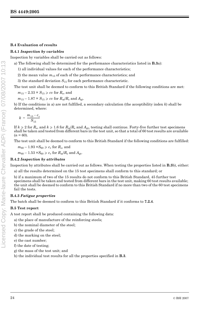## **B.4 Evaluation of results**

### **B.4.1** *Inspection by variables*

Inspection by variables shall be carried out as follows:

a) The following shall be determined for the performance characteristics listed in **[B.3](#page-28-1)**a):

1) all individual values for each of the performance characteristics;

2) the mean value  $m_{15}$  of each of the performance characteristics; and

3) the standard deviation *S*15 for each performance characteristic.

The test unit shall be deemed to conform to this British Standard if the following conditions are met:

 $m_{15} - 2.33 \times S_{15} \geq cv$  for  $R_e$ , and

 $m_{15} - 1.87 \times S_{15} \geq c \nu$  for  $R_m/R_e$  and  $A_{\sigma t}$ .

b) If the conditions in a) are not fulfilled, a secondary calculation (the acceptibility index *k*) shall be determined, where:

$$
k = \frac{m_{15} - c_v}{S_{15}}
$$

If  $k \geq 2$  for  $R_e$ , and  $k \geq 1.6$  for  $R_m/R_e$  and  $A_{gt}$ , testing shall continue. Forty-five further test specimens shall be taken and tested from different bars in the test unit, so that a total of 60 test results are available  $(n = 60)$ .

The test unit shall be deemed to conform to this British Standard if the following conditions are fulfilled:

 $m_{60} - 1.93 \times S_{60} \geq c_v$  for  $R_e$ , and

 $m_{60} - 1.53 \times S_{60} \ge c_v$  for  $R_m/R_e$  and  $A_{gt}$ .

#### **B.4.2** *Inspection by attributes*

Inspection by attributes shall be carried out as follows. When testing the properties listed in **[B.3](#page-28-1)**b), either:

a) all the results determined on the 15 test specimens shall conform to this standard; or

b) if a maximum of two of the 15 results do not conform to this British Standard, 45 further test specimens shall be taken and tested from different bars in the test unit, making 60 test results available; the unit shall be deemed to conform to this British Standard if no more than two of the 60 test specimens fail the tests.

### **B.4.3** *Fatigue properties*

The batch shall be deemed to conform to this British Standard if it conforms to **7.2.4**.

#### **B.5 Test report**

A test report shall be produced containing the following data:

- a) the place of manufacture of the reinforcing steels;
- b) the nominal diameter of the steel;
- c) the grade of the steel;
- d) the marking on the steel;
- e) the cast number;
- f) the date of testing;
- g) the mass of the test unit; and
- h) the individual test results for all the properties specified in **[B.3](#page-28-1)**.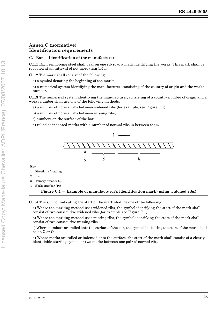## <span id="page-30-0"></span>**Annex C (normative) Identification requirements**

## <span id="page-30-2"></span>**C.1 Bar — Identification of the manufacturer**

**C.1.1** Each reinforcing steel shall bear on one rib row, a mark identifying the works. This mark shall be repeated at an interval of not more than 1.5 m.

**C.1.2** The mark shall consist of the following:

a) a symbol denoting the beginning of the mark;

b) a numerical system identifying the manufacturer, consisting of the country of origin and the works number.

**C.1.3** The numerical system identifying the manufacturer, consisting of a country number of origin and a works number shall use one of the following methods:

a) a number of normal ribs between widened ribs (for example, see [Figure C.1](#page-30-1));

b) a number of normal ribs between missing ribs;

c) numbers on the surface of the bar;

d) rolled or indented marks with a number of normal ribs in between them.



<span id="page-30-1"></span>**C.1.4** The symbol indicating the start of the mark shall be one of the following.

a) Where the marking method uses widened ribs, the symbol identifying the start of the mark shall consist of two consecutive widened ribs (for example see [Figure C.1\)](#page-30-1).

b) Where the marking method uses missing ribs, the symbol identifying the start of the mark shall consist of two consecutive missing ribs.

c) Where numbers are rolled onto the surface of the bar, the symbol indicating the start of the mark shall be an X or O.

d) Where marks are rolled or indented onto the surface, the start of the mark shall consist of a clearly identifiable starting symbol or two marks between one pair of normal ribs.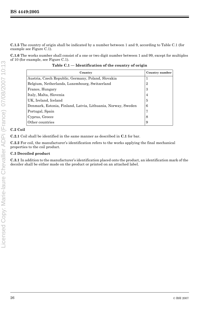**C.1.5** The country of origin shall be indicated by a number between 1 and 9, according to [Table C.1](#page-31-0) (for example see [Figure C.1](#page-30-1)).

<span id="page-31-0"></span>**C.1.6** The works number shall consist of a one or two digit number between 1 and 99, except for multiples of 10 (for example, see [Figure C.1\)](#page-30-1).

| Country                                                      | Country number |
|--------------------------------------------------------------|----------------|
| Austria, Czech Republic, Germany, Poland, Slovakia           | 1              |
| Belgium, Netherlands, Luxembourg, Switzerland                | $\overline{2}$ |
| France, Hungary                                              | 3              |
| Italy, Malta, Slovenia                                       | $\overline{4}$ |
| UK, Ireland, Iceland                                         | 5              |
| Denmark, Estonia, Finland, Latvia, Lithuania, Norway, Sweden | 6              |
| Portugal, Spain                                              | 7              |
| Cyprus, Greece                                               | 8              |
| Other countries                                              | 9              |

**Table C.1 — Identification of the country of origin**

## **C.2 Coil**

**C.2.1** Coil shall be identified in the same manner as described in **[C.1](#page-30-2)** for bar.

**C.2.2** For coil, the manufacturer's identification refers to the works applying the final mechanical properties to the coil product.

## **C.3 Decoiled product**

**C.3.1** In addition to the manufacturer's identification placed onto the product, an identification mark of the decoiler shall be either made on the product or printed on an attached label.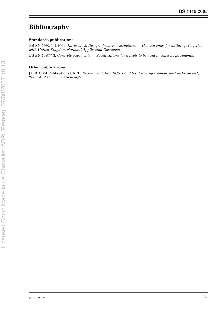# **Bibliography**

## **Standards publications**

BS EN 1992-1-1:2004*, Eurocode 2: Design of concrete structures — General rules for buildings (together with United Kingdom National Application Document).*

BS EN 13877-3*, Concrete pavements — Specifications for dowels to be used in concrete pavements.*

## **Other publications**

[1] RILEM Publications SARL, *Recommendation RC5, Bond test for reinforcement steel — Beam test*, 2nd Ed. 1982. (*www.rilem.org*)